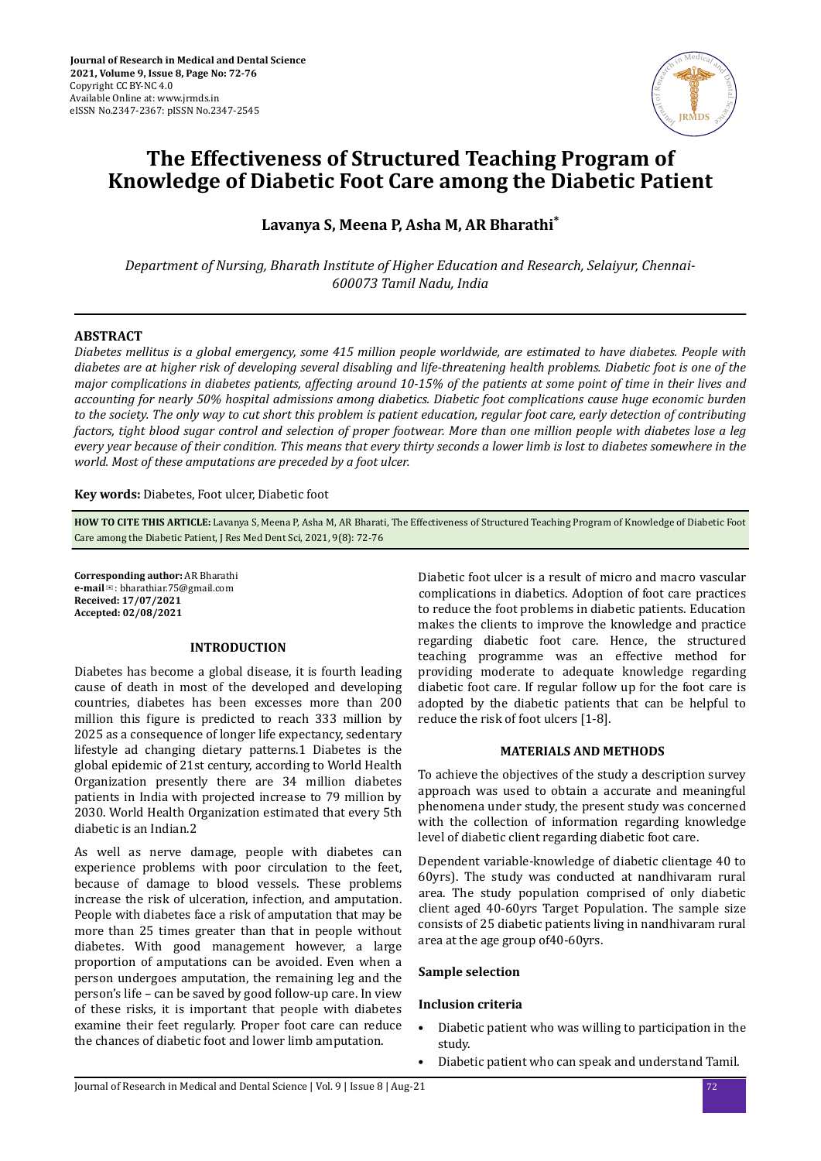

# **The Effectiveness of Structured Teaching Program of Knowledge of Diabetic Foot Care among the Diabetic Patient**

**Lavanya S, Meena P, Asha M, AR Bharathi\***

*Department of Nursing, Bharath Institute of Higher Education and Research, Selaiyur, Chennai-600073 Tamil Nadu, India*

# **ABSTRACT**

*Diabetes mellitus is a global emergency, some 415 million people worldwide, are estimated to have diabetes. People with diabetes are at higher risk of developing several disabling and life-threatening health problems. Diabetic foot is one of the major complications in diabetes patients, affecting around 10-15% of the patients at some point of time in their lives and accounting for nearly 50% hospital admissions among diabetics. Diabetic foot complications cause huge economic burden to the society. The only way to cut short this problem is patient education, regular foot care, early detection of contributing factors, tight blood sugar control and selection of proper footwear. More than one million people with diabetes lose a leg every year because of their condition. This means that every thirty seconds a lower limb is lost to diabetes somewhere in the world. Most of these amputations are preceded by a foot ulcer.*

**Key words:** Diabetes, Foot ulcer, Diabetic foot

**HOW TO CITE THIS ARTICLE:** Lavanya S, Meena P, Asha M, AR Bharati, The Effectiveness of Structured Teaching Program of Knowledge of Diabetic Foot Care among the Diabetic Patient, J Res Med Dent Sci, 2021, 9(8): 72-76

**Corresponding author:** AR Bharathi **e-mail**✉: bharathiar.75@gmail.com **Received: 17/07/2021 Accepted: 02/08/2021** 

# **INTRODUCTION**

Diabetes has become a global disease, it is fourth leading cause of death in most of the developed and developing countries, diabetes has been excesses more than 200 million this figure is predicted to reach 333 million by 2025 as a consequence of longer life expectancy, sedentary lifestyle ad changing dietary patterns.1 Diabetes is the global epidemic of 21st century, according to World Health Organization presently there are 34 million diabetes patients in India with projected increase to 79 million by 2030. World Health Organization estimated that every 5th diabetic is an Indian.2

As well as nerve damage, people with diabetes can experience problems with poor circulation to the feet, because of damage to blood vessels. These problems increase the risk of ulceration, infection, and amputation. People with diabetes face a risk of amputation that may be more than 25 times greater than that in people without diabetes. With good management however, a large proportion of amputations can be avoided. Even when a person undergoes amputation, the remaining leg and the person's life – can be saved by good follow-up care. In view of these risks, it is important that people with diabetes examine their feet regularly. Proper foot care can reduce the chances of diabetic foot and lower limb amputation.

Diabetic foot ulcer is a result of micro and macro vascular complications in diabetics. Adoption of foot care practices to reduce the foot problems in diabetic patients. Education makes the clients to improve the knowledge and practice regarding diabetic foot care. Hence, the structured teaching programme was an effective method for providing moderate to adequate knowledge regarding diabetic foot care. If regular follow up for the foot care is adopted by the diabetic patients that can be helpful to reduce the risk of foot ulcers [1-8].

# **MATERIALS AND METHODS**

To achieve the objectives of the study a description survey approach was used to obtain a accurate and meaningful phenomena under study, the present study was concerned with the collection of information regarding knowledge level of diabetic client regarding diabetic foot care.

Dependent variable-knowledge of diabetic clientage 40 to 60yrs). The study was conducted at nandhivaram rural area. The study population comprised of only diabetic client aged 40-60yrs Target Population. The sample size consists of 25 diabetic patients living in nandhivaram rural area at the age group of40-60yrs.

# **Sample selection**

# **Inclusion criteria**

- Diabetic patient who was willing to participation in the study.
- Diabetic patient who can speak and understand Tamil.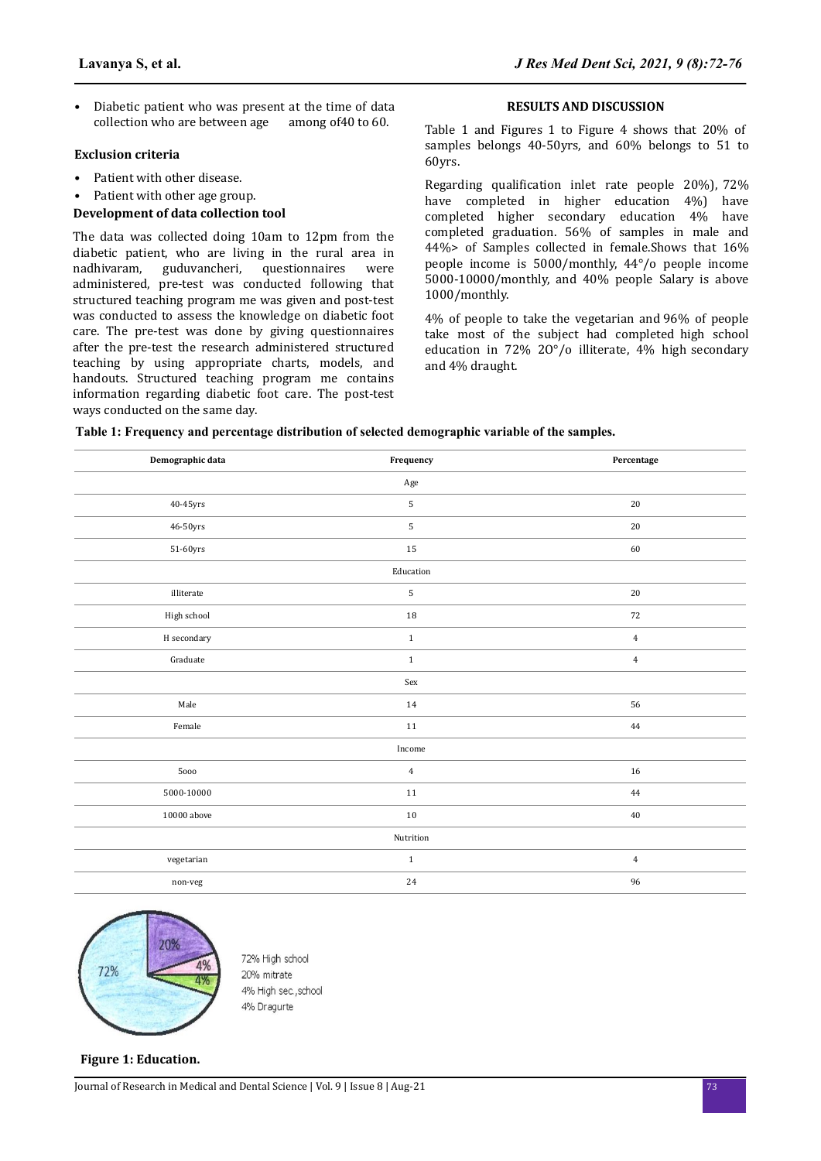• Diabetic patient who was present at the time of data collection who are between age among of 40 to 60.

### **Exclusion criteria**

- Patient with other disease.
- Patient with other age group.

## **Development of data collection tool**

The data was collected doing 10am to 12pm from the diabetic patient, who are living in the rural area in nadhivaram, guduvancheri, questionnaires were administered, pre-test was conducted following that structured teaching program me was given and post-test was conducted to assess the knowledge on diabetic foot care. The pre-test was done by giving questionnaires after the pre-test the research administered structured teaching by using appropriate charts, models, and handouts. Structured teaching program me contains information regarding diabetic foot care. The post-test ways conducted on the same day.

## **RESULTS AND DISCUSSION**

Table 1 and Figures 1 to Figure 4 shows that 20% of samples belongs 40-50yrs, and 60% belongs to 51 to 60yrs.

Regarding qualification inlet rate people 20%), 72% have completed in higher education 4%) have completed higher secondary education 4% have completed graduation. 56% of samples in male and 44%> of Samples collected in female.Shows that 16% people income is 5000/monthly, 44°/o people income 5000-10000/monthly, and 40% people Salary is above 1000/monthly.

4% of people to take the vegetarian and 96% of people take most of the subject had completed high school education in 72% 2O°/o illiterate, 4% high secondary and 4% draught.

|  | Table 1: Frequency and percentage distribution of selected demographic variable of the samples. |  |
|--|-------------------------------------------------------------------------------------------------|--|
|  |                                                                                                 |  |

| Demographic data                    | Frequency      | Percentage     |  |  |
|-------------------------------------|----------------|----------------|--|--|
|                                     | Age            |                |  |  |
| $40 - 45$ yrs                       | 5              | $20\,$         |  |  |
| $46 - 50 \rm yrs$                   | 5              | 20             |  |  |
| $51\mbox{-}60 \rm yrs$              | 15             | 60             |  |  |
|                                     | Education      |                |  |  |
| illiterate                          | 5              | 20             |  |  |
| High school                         | 18             | 72             |  |  |
| $\boldsymbol{\textbf{H}}$ secondary | $\,1$          | $\overline{4}$ |  |  |
| Graduate                            | $\mathbf{1}$   | $\overline{4}$ |  |  |
|                                     | Sex            |                |  |  |
| Male                                | 14             | 56             |  |  |
| Female                              | $11\,$         | 44             |  |  |
| Income                              |                |                |  |  |
| 5000                                | $\overline{4}$ | 16             |  |  |
| 5000-10000                          | 11             | 44             |  |  |
| 10000 above                         | 10             | 40             |  |  |
| Nutrition                           |                |                |  |  |
| vegetarian                          | $\mathbf{1}$   | $\overline{4}$ |  |  |
| non-veg                             | 24             | 96             |  |  |



72% High school 20% mitrate 4% High sec., school 4% Dragurte

### **Figure 1: Education.**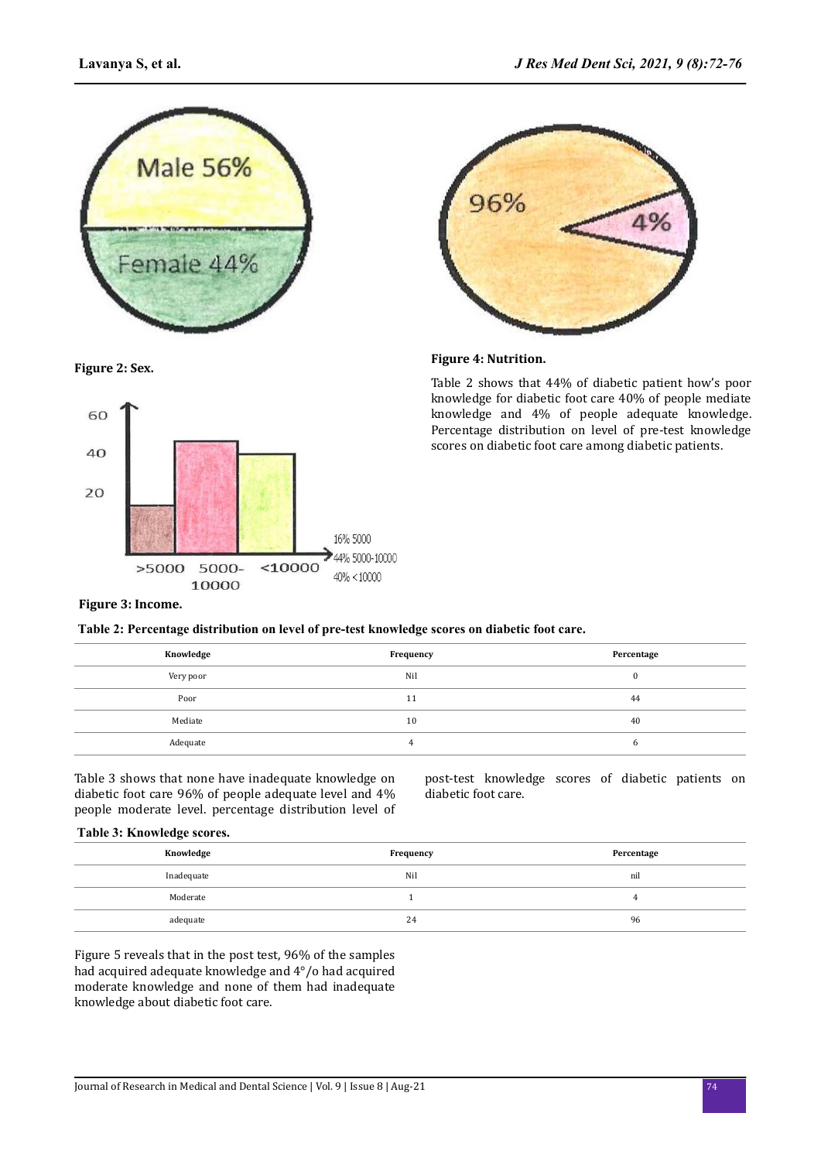

96% 4%

# **Figure 2: Sex. Figure 4: Nutrition.**

Table 2 shows that 44% of diabetic patient how's poor knowledge for diabetic foot care 40% of people mediate knowledge and 4% of people adequate knowledge. Percentage distribution on level of pre-test knowledge scores on diabetic foot care among diabetic patients.





# **Figure 3: Income.**

**Table 2: Percentage distribution on level of pre-test knowledge scores on diabetic foot care.**

| Knowledge | Frequency | Percentage |
|-----------|-----------|------------|
| Very poor | Nil       | u          |
| Poor      | 11        | 44         |
| Mediate   | 10        | 40         |
| Adequate  |           | o          |

Table 3 shows that none have inadequate knowledge on diabetic foot care 96% of people adequate level and 4% people moderate level. percentage distribution level of post-test knowledge scores of diabetic patients on diabetic foot care.

## **Table 3: Knowledge scores.**

| Knowledge  | Frequency | Percentage |
|------------|-----------|------------|
| Inadequate | Nil       | nil        |
| Moderate   |           |            |
| adequate   | 24        | 96         |

Figure 5 reveals that in the post test, 96% of the samples had acquired adequate knowledge and 4°/o had acquired moderate knowledge and none of them had inadequate knowledge about diabetic foot care.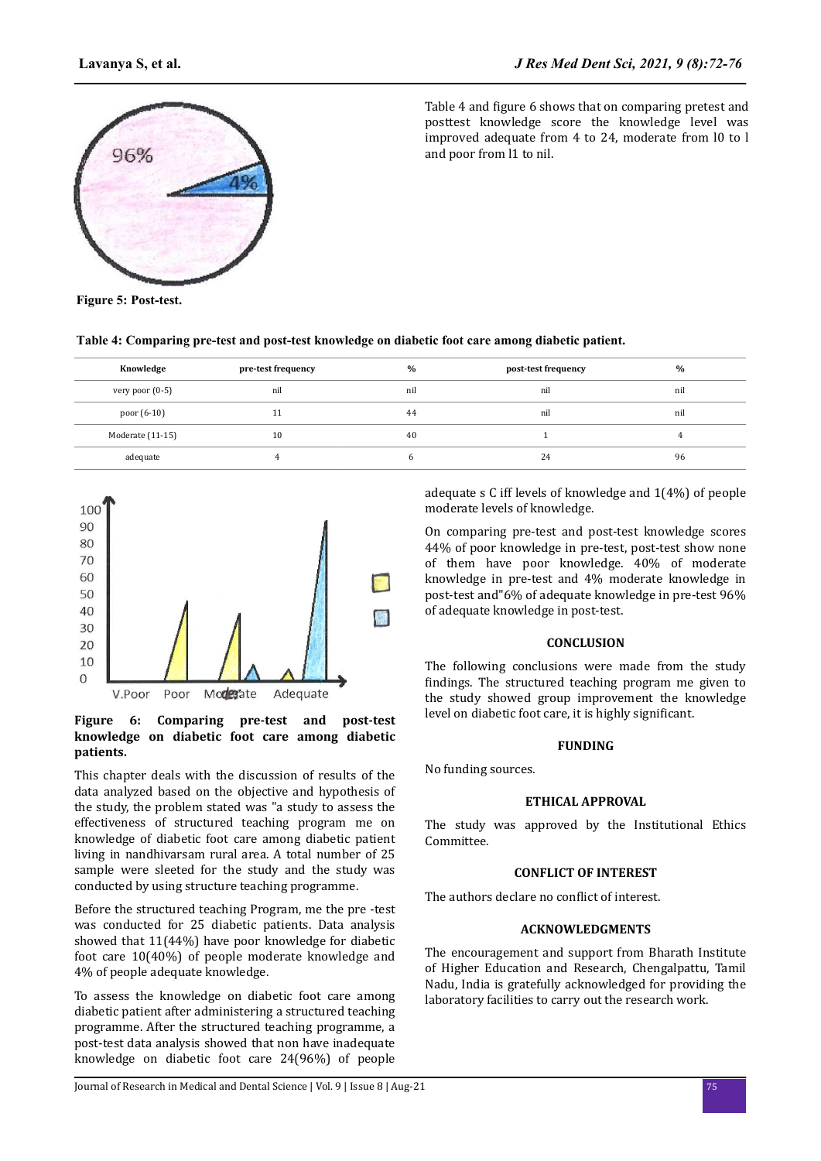

Table 4 and figure 6 shows that on comparing pretest and posttest knowledge score the knowledge level was improved adequate from 4 to 24, moderate from l0 to l and poor from l1 to nil.

**Figure 5: Post-test.**

**Table 4: Comparing pre-test and post-test knowledge on diabetic foot care among diabetic patient.**

| Knowledge        | pre-test frequency | $\frac{0}{0}$ | post-test frequency | $\%$ |
|------------------|--------------------|---------------|---------------------|------|
| very poor (0-5)  | nil                | nil           | nil                 | nil  |
| poor (6-10)      | 11                 | 44            | nil                 | nil  |
| Moderate (11-15) | 10                 | 40            |                     |      |
| adequate         |                    |               | 24                  | 96   |



## **Figure 6: Comparing pre-test and post-test knowledge on diabetic foot care among diabetic patients.**

This chapter deals with the discussion of results of the data analyzed based on the objective and hypothesis of the study, the problem stated was "a study to assess the effectiveness of structured teaching program me on knowledge of diabetic foot care among diabetic patient living in nandhivarsam rural area. A total number of 25 sample were sleeted for the study and the study was conducted by using structure teaching programme.

Before the structured teaching Program, me the pre -test was conducted for 25 diabetic patients. Data analysis showed that 11(44%) have poor knowledge for diabetic foot care 10(40%) of people moderate knowledge and 4% of people adequate knowledge.

To assess the knowledge on diabetic foot care among diabetic patient after administering a structured teaching programme. After the structured teaching programme, a post-test data analysis showed that non have inadequate knowledge on diabetic foot care 24(96%) of people

adequate s C iff levels of knowledge and 1(4%) of people moderate levels of knowledge.

On comparing pre-test and post-test knowledge scores 44% of poor knowledge in pre-test, post-test show none of them have poor knowledge. 40% of moderate knowledge in pre-test and 4% moderate knowledge in post-test and"6% of adequate knowledge in pre-test 96% of adequate knowledge in post-test.

### **CONCLUSION**

The following conclusions were made from the study findings. The structured teaching program me given to the study showed group improvement the knowledge level on diabetic foot care, it is highly significant.

#### **FUNDING**

No funding sources.

#### **ETHICAL APPROVAL**

The study was approved by the Institutional Ethics Committee.

### **CONFLICT OF INTEREST**

The authors declare no conflict of interest.

### **ACKNOWLEDGMENTS**

The encouragement and support from Bharath Institute of Higher Education and Research, Chengalpattu, Tamil Nadu, India is gratefully acknowledged for providing the laboratory facilities to carry out the research work.